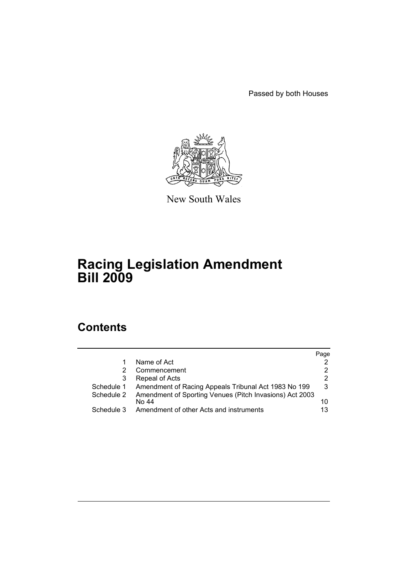Passed by both Houses



New South Wales

# **Racing Legislation Amendment Bill 2009**

# **Contents**

|            |                                                                  | Page |
|------------|------------------------------------------------------------------|------|
|            | Name of Act                                                      | 2    |
| 2          | Commencement                                                     | 2    |
| 3          | Repeal of Acts                                                   | 2    |
| Schedule 1 | Amendment of Racing Appeals Tribunal Act 1983 No 199             | 3    |
| Schedule 2 | Amendment of Sporting Venues (Pitch Invasions) Act 2003<br>No 44 | 10   |
| Schedule 3 | Amendment of other Acts and instruments                          | 13   |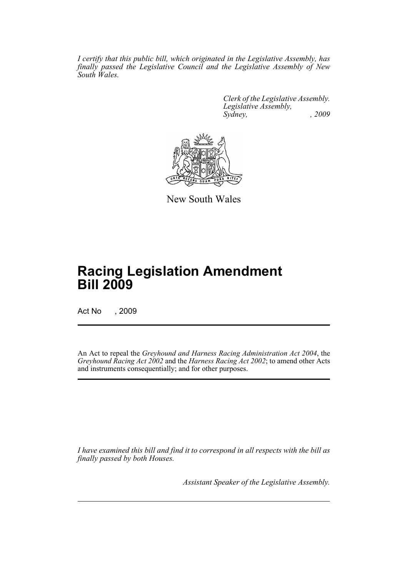*I certify that this public bill, which originated in the Legislative Assembly, has finally passed the Legislative Council and the Legislative Assembly of New South Wales.*

> *Clerk of the Legislative Assembly. Legislative Assembly, Sydney, , 2009*



New South Wales

# **Racing Legislation Amendment Bill 2009**

Act No , 2009

An Act to repeal the *Greyhound and Harness Racing Administration Act 2004*, the *Greyhound Racing Act 2002* and the *Harness Racing Act 2002*; to amend other Acts and instruments consequentially; and for other purposes.

*I have examined this bill and find it to correspond in all respects with the bill as finally passed by both Houses.*

*Assistant Speaker of the Legislative Assembly.*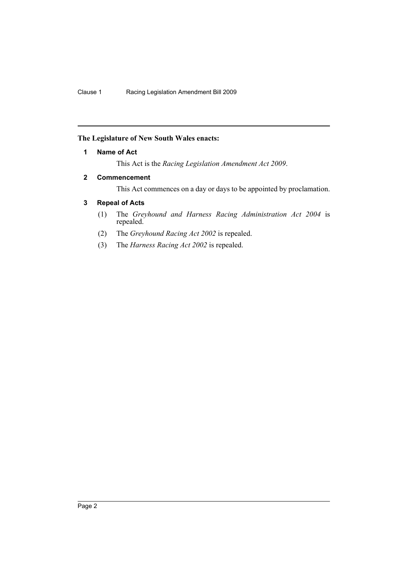# <span id="page-2-0"></span>**The Legislature of New South Wales enacts:**

### **1 Name of Act**

This Act is the *Racing Legislation Amendment Act 2009*.

# <span id="page-2-1"></span>**2 Commencement**

This Act commences on a day or days to be appointed by proclamation.

# <span id="page-2-2"></span>**3 Repeal of Acts**

- (1) The *Greyhound and Harness Racing Administration Act 2004* is repealed.
- (2) The *Greyhound Racing Act 2002* is repealed.
- (3) The *Harness Racing Act 2002* is repealed.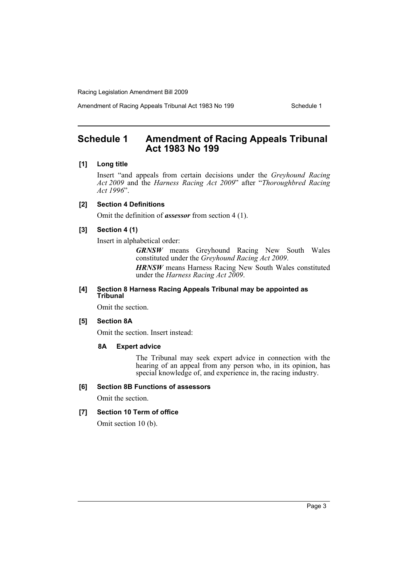Amendment of Racing Appeals Tribunal Act 1983 No 199 Schedule 1

# <span id="page-3-0"></span>**Schedule 1 Amendment of Racing Appeals Tribunal Act 1983 No 199**

### **[1] Long title**

Insert "and appeals from certain decisions under the *Greyhound Racing Act 2009* and the *Harness Racing Act 2009*" after "*Thoroughbred Racing Act 1996*".

### **[2] Section 4 Definitions**

Omit the definition of *assessor* from section 4 (1).

# **[3] Section 4 (1)**

Insert in alphabetical order:

*GRNSW* means Greyhound Racing New South Wales constituted under the *Greyhound Racing Act 2009*. *HRNSW* means Harness Racing New South Wales constituted under the *Harness Racing Act 2009*.

### **[4] Section 8 Harness Racing Appeals Tribunal may be appointed as Tribunal**

Omit the section.

### **[5] Section 8A**

Omit the section. Insert instead:

### **8A Expert advice**

The Tribunal may seek expert advice in connection with the hearing of an appeal from any person who, in its opinion, has special knowledge of, and experience in, the racing industry.

### **[6] Section 8B Functions of assessors**

Omit the section.

### **[7] Section 10 Term of office**

Omit section 10 (b).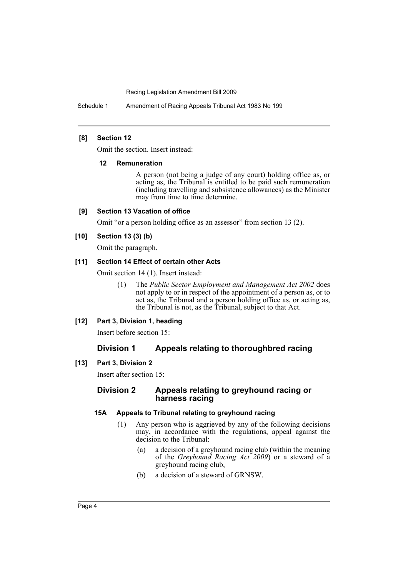Schedule 1 Amendment of Racing Appeals Tribunal Act 1983 No 199

### **[8] Section 12**

Omit the section. Insert instead:

### **12 Remuneration**

A person (not being a judge of any court) holding office as, or acting as, the Tribunal is entitled to be paid such remuneration (including travelling and subsistence allowances) as the Minister may from time to time determine.

### **[9] Section 13 Vacation of office**

Omit "or a person holding office as an assessor" from section 13 (2).

# **[10] Section 13 (3) (b)**

Omit the paragraph.

### **[11] Section 14 Effect of certain other Acts**

Omit section 14 (1). Insert instead:

(1) The *Public Sector Employment and Management Act 2002* does not apply to or in respect of the appointment of a person as, or to act as, the Tribunal and a person holding office as, or acting as, the Tribunal is not, as the Tribunal, subject to that Act.

# **[12] Part 3, Division 1, heading**

Insert before section 15:

# **Division 1 Appeals relating to thoroughbred racing**

# **[13] Part 3, Division 2**

Insert after section 15:

# **Division 2 Appeals relating to greyhound racing or harness racing**

# **15A Appeals to Tribunal relating to greyhound racing**

- (1) Any person who is aggrieved by any of the following decisions may, in accordance with the regulations, appeal against the decision to the Tribunal:
	- (a) a decision of a greyhound racing club (within the meaning of the *Greyhound Racing Act 2009*) or a steward of a greyhound racing club,
	- (b) a decision of a steward of GRNSW.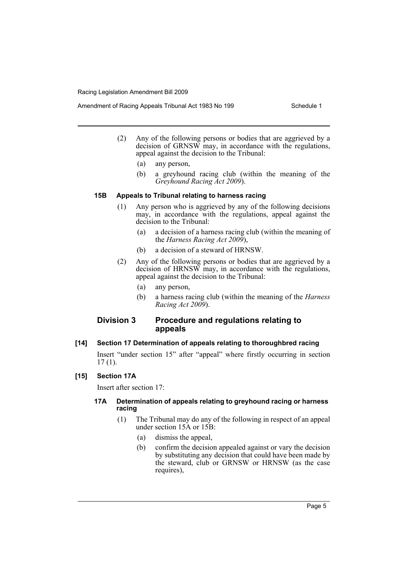- (2) Any of the following persons or bodies that are aggrieved by a decision of GRNSW may, in accordance with the regulations, appeal against the decision to the Tribunal:
	- (a) any person,
	- (b) a greyhound racing club (within the meaning of the *Greyhound Racing Act 2009*).

### **15B Appeals to Tribunal relating to harness racing**

- (1) Any person who is aggrieved by any of the following decisions may, in accordance with the regulations, appeal against the decision to the Tribunal:
	- (a) a decision of a harness racing club (within the meaning of the *Harness Racing Act 2009*),
	- (b) a decision of a steward of HRNSW.
- (2) Any of the following persons or bodies that are aggrieved by a decision of HRNSW may, in accordance with the regulations, appeal against the decision to the Tribunal:
	- (a) any person,
	- (b) a harness racing club (within the meaning of the *Harness Racing Act 2009*).

# **Division 3 Procedure and regulations relating to appeals**

# **[14] Section 17 Determination of appeals relating to thoroughbred racing**

Insert "under section 15" after "appeal" where firstly occurring in section 17 (1).

# **[15] Section 17A**

Insert after section 17:

### **17A Determination of appeals relating to greyhound racing or harness racing**

- (1) The Tribunal may do any of the following in respect of an appeal under section 15A or 15B:
	- (a) dismiss the appeal,
	- (b) confirm the decision appealed against or vary the decision by substituting any decision that could have been made by the steward, club or GRNSW or HRNSW (as the case requires),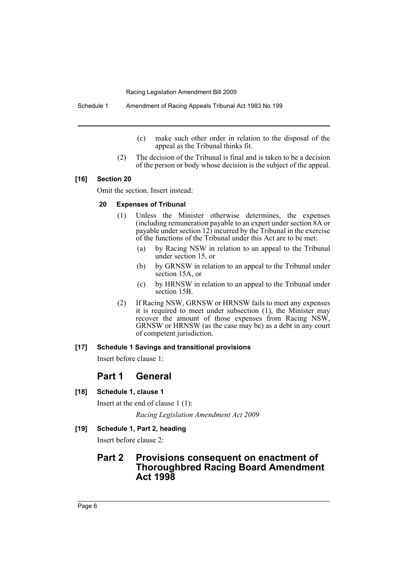Schedule 1 Amendment of Racing Appeals Tribunal Act 1983 No 199

- (c) make such other order in relation to the disposal of the appeal as the Tribunal thinks fit.
- (2) The decision of the Tribunal is final and is taken to be a decision of the person or body whose decision is the subject of the appeal.

### **[16] Section 20**

Omit the section. Insert instead:

### **20 Expenses of Tribunal**

- (1) Unless the Minister otherwise determines, the expenses (including remuneration payable to an expert under section 8A or payable under section 12) incurred by the Tribunal in the exercise of the functions of the Tribunal under this Act are to be met:
	- (a) by Racing NSW in relation to an appeal to the Tribunal under section 15, or
	- (b) by GRNSW in relation to an appeal to the Tribunal under section 15A, or
	- (c) by HRNSW in relation to an appeal to the Tribunal under section 15B.
- (2) If Racing NSW, GRNSW or HRNSW fails to meet any expenses it is required to meet under subsection (1), the Minister may recover the amount of those expenses from Racing NSW, GRNSW or HRNSW (as the case may be) as a debt in any court of competent jurisdiction.

### **[17] Schedule 1 Savings and transitional provisions**

Insert before clause 1:

# **Part 1 General**

### **[18] Schedule 1, clause 1**

Insert at the end of clause 1 (1): *Racing Legislation Amendment Act 2009*

# **[19] Schedule 1, Part 2, heading**

Insert before clause 2:

# **Part 2 Provisions consequent on enactment of Thoroughbred Racing Board Amendment Act 1998**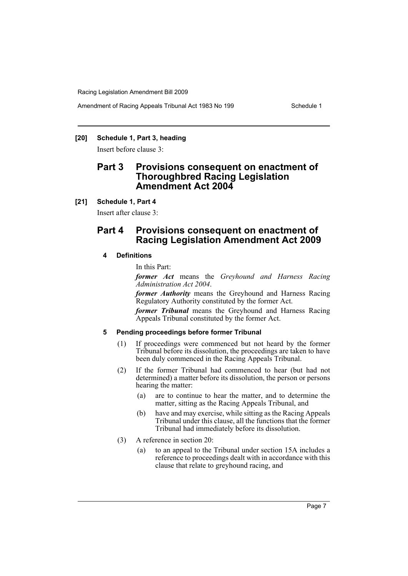Amendment of Racing Appeals Tribunal Act 1983 No 199 Schedule 1

### **[20] Schedule 1, Part 3, heading**

Insert before clause 3:

# **Part 3 Provisions consequent on enactment of Thoroughbred Racing Legislation Amendment Act 2004**

### **[21] Schedule 1, Part 4**

Insert after clause 3:

# **Part 4 Provisions consequent on enactment of Racing Legislation Amendment Act 2009**

### **4 Definitions**

In this Part:

*former Act* means the *Greyhound and Harness Racing Administration Act 2004*.

*former Authority* means the Greyhound and Harness Racing Regulatory Authority constituted by the former Act.

*former Tribunal* means the Greyhound and Harness Racing Appeals Tribunal constituted by the former Act.

### **5 Pending proceedings before former Tribunal**

- (1) If proceedings were commenced but not heard by the former Tribunal before its dissolution, the proceedings are taken to have been duly commenced in the Racing Appeals Tribunal.
- (2) If the former Tribunal had commenced to hear (but had not determined) a matter before its dissolution, the person or persons hearing the matter:
	- (a) are to continue to hear the matter, and to determine the matter, sitting as the Racing Appeals Tribunal, and
	- (b) have and may exercise, while sitting as the Racing Appeals Tribunal under this clause, all the functions that the former Tribunal had immediately before its dissolution.
- (3) A reference in section 20:
	- (a) to an appeal to the Tribunal under section 15A includes a reference to proceedings dealt with in accordance with this clause that relate to greyhound racing, and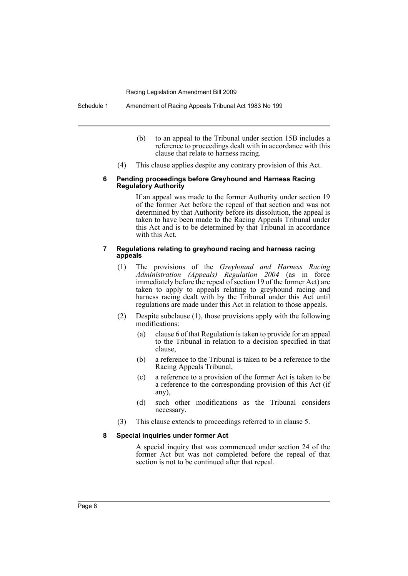Schedule 1 Amendment of Racing Appeals Tribunal Act 1983 No 199

- (b) to an appeal to the Tribunal under section 15B includes a reference to proceedings dealt with in accordance with this clause that relate to harness racing.
- (4) This clause applies despite any contrary provision of this Act.

#### **6 Pending proceedings before Greyhound and Harness Racing Regulatory Authority**

If an appeal was made to the former Authority under section 19 of the former Act before the repeal of that section and was not determined by that Authority before its dissolution, the appeal is taken to have been made to the Racing Appeals Tribunal under this Act and is to be determined by that Tribunal in accordance with this Act.

#### **7 Regulations relating to greyhound racing and harness racing appeals**

- (1) The provisions of the *Greyhound and Harness Racing Administration (Appeals) Regulation 2004* (as in force immediately before the repeal of section 19 of the former Act) are taken to apply to appeals relating to greyhound racing and harness racing dealt with by the Tribunal under this Act until regulations are made under this Act in relation to those appeals.
- (2) Despite subclause (1), those provisions apply with the following modifications:
	- (a) clause 6 of that Regulation is taken to provide for an appeal to the Tribunal in relation to a decision specified in that clause,
	- (b) a reference to the Tribunal is taken to be a reference to the Racing Appeals Tribunal,
	- (c) a reference to a provision of the former Act is taken to be a reference to the corresponding provision of this Act (if any),
	- (d) such other modifications as the Tribunal considers necessary.
- (3) This clause extends to proceedings referred to in clause 5.

### **8 Special inquiries under former Act**

A special inquiry that was commenced under section 24 of the former Act but was not completed before the repeal of that section is not to be continued after that repeal.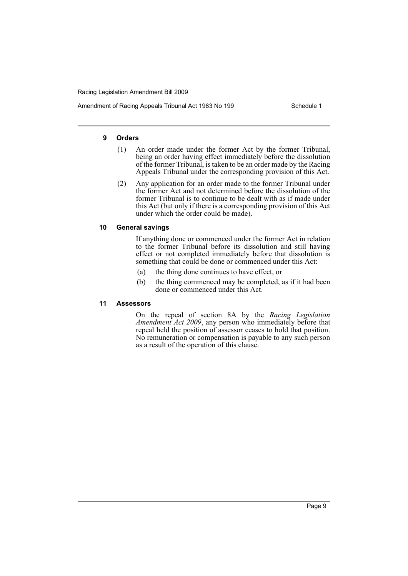Amendment of Racing Appeals Tribunal Act 1983 No 199 Schedule 1

### **9 Orders**

- (1) An order made under the former Act by the former Tribunal, being an order having effect immediately before the dissolution of the former Tribunal, is taken to be an order made by the Racing Appeals Tribunal under the corresponding provision of this Act.
- (2) Any application for an order made to the former Tribunal under the former Act and not determined before the dissolution of the former Tribunal is to continue to be dealt with as if made under this Act (but only if there is a corresponding provision of this Act under which the order could be made).

### **10 General savings**

If anything done or commenced under the former Act in relation to the former Tribunal before its dissolution and still having effect or not completed immediately before that dissolution is something that could be done or commenced under this Act:

- (a) the thing done continues to have effect, or
- (b) the thing commenced may be completed, as if it had been done or commenced under this Act.

### **11 Assessors**

On the repeal of section 8A by the *Racing Legislation Amendment Act 2009*, any person who immediately before that repeal held the position of assessor ceases to hold that position. No remuneration or compensation is payable to any such person as a result of the operation of this clause.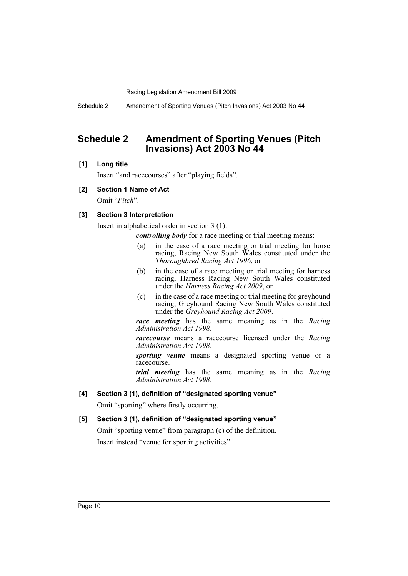Schedule 2 Amendment of Sporting Venues (Pitch Invasions) Act 2003 No 44

# <span id="page-10-0"></span>**Schedule 2 Amendment of Sporting Venues (Pitch Invasions) Act 2003 No 44**

### **[1] Long title**

Insert "and racecourses" after "playing fields".

#### **[2] Section 1 Name of Act**

Omit "*Pitch*".

### **[3] Section 3 Interpretation**

Insert in alphabetical order in section 3 (1):

*controlling body* for a race meeting or trial meeting means:

- (a) in the case of a race meeting or trial meeting for horse racing, Racing New South Wales constituted under the *Thoroughbred Racing Act 1996*, or
- (b) in the case of a race meeting or trial meeting for harness racing, Harness Racing New South Wales constituted under the *Harness Racing Act 2009*, or
- (c) in the case of a race meeting or trial meeting for greyhound racing, Greyhound Racing New South Wales constituted under the *Greyhound Racing Act 2009*.

*race meeting* has the same meaning as in the *Racing Administration Act 1998*.

*racecourse* means a racecourse licensed under the *Racing Administration Act 1998*.

*sporting venue* means a designated sporting venue or a racecourse.

*trial meeting* has the same meaning as in the *Racing Administration Act 1998*.

### **[4] Section 3 (1), definition of "designated sporting venue"**

Omit "sporting" where firstly occurring.

### **[5] Section 3 (1), definition of "designated sporting venue"**

Omit "sporting venue" from paragraph (c) of the definition. Insert instead "venue for sporting activities".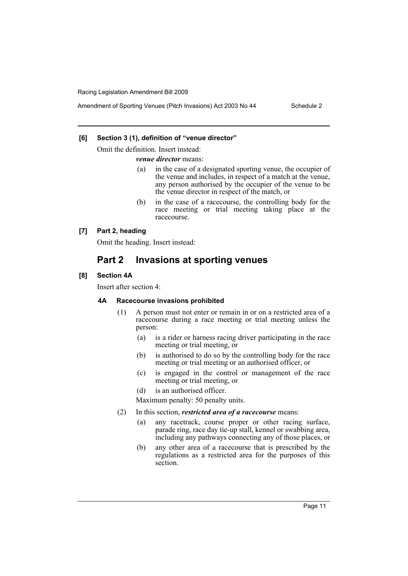### **[6] Section 3 (1), definition of "venue director"**

Omit the definition. Insert instead:

*venue director* means:

- (a) in the case of a designated sporting venue, the occupier of the venue and includes, in respect of a match at the venue, any person authorised by the occupier of the venue to be the venue director in respect of the match, or
- (b) in the case of a racecourse, the controlling body for the race meeting or trial meeting taking place at the racecourse.

# **[7] Part 2, heading**

Omit the heading. Insert instead:

# **Part 2 Invasions at sporting venues**

# **[8] Section 4A**

Insert after section 4:

# **4A Racecourse invasions prohibited**

- (1) A person must not enter or remain in or on a restricted area of a racecourse during a race meeting or trial meeting unless the person:
	- (a) is a rider or harness racing driver participating in the race meeting or trial meeting, or
	- (b) is authorised to do so by the controlling body for the race meeting or trial meeting or an authorised officer, or
	- (c) is engaged in the control or management of the race meeting or trial meeting, or
	- (d) is an authorised officer.

Maximum penalty: 50 penalty units.

- (2) In this section, *restricted area of a racecourse* means:
	- (a) any racetrack, course proper or other racing surface, parade ring, race day tie-up stall, kennel or swabbing area, including any pathways connecting any of those places, or
	- (b) any other area of a racecourse that is prescribed by the regulations as a restricted area for the purposes of this section.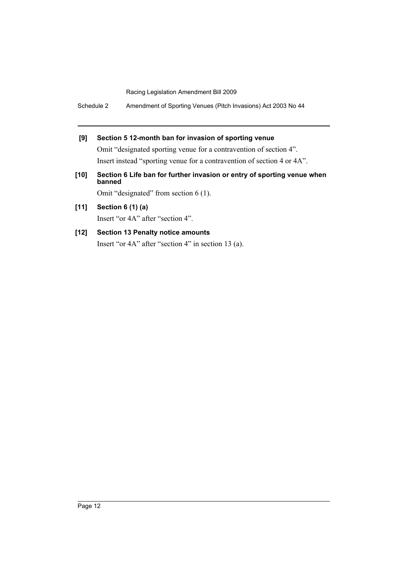Schedule 2 Amendment of Sporting Venues (Pitch Invasions) Act 2003 No 44

# **[9] Section 5 12-month ban for invasion of sporting venue**

Omit "designated sporting venue for a contravention of section 4". Insert instead "sporting venue for a contravention of section 4 or 4A".

**[10] Section 6 Life ban for further invasion or entry of sporting venue when banned**

Omit "designated" from section 6 (1).

**[11] Section 6 (1) (a)** Insert "or 4A" after "section 4".

# **[12] Section 13 Penalty notice amounts** Insert "or 4A" after "section 4" in section 13 (a).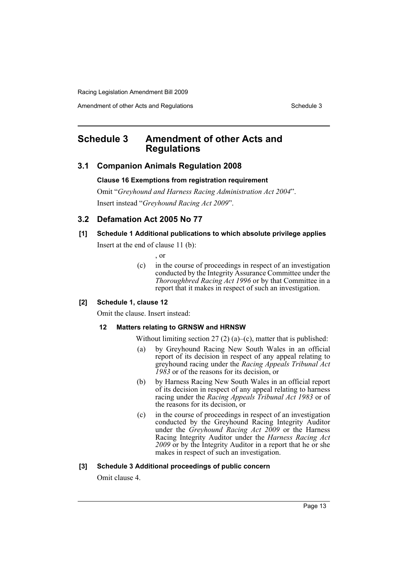Amendment of other Acts and Regulations Schedule 3

# <span id="page-13-0"></span>**Schedule 3 Amendment of other Acts and Regulations**

# **3.1 Companion Animals Regulation 2008**

### **Clause 16 Exemptions from registration requirement**

Omit "*Greyhound and Harness Racing Administration Act 2004*". Insert instead "*Greyhound Racing Act 2009*".

# **3.2 Defamation Act 2005 No 77**

### **[1] Schedule 1 Additional publications to which absolute privilege applies**

Insert at the end of clause 11 (b):

, or

(c) in the course of proceedings in respect of an investigation conducted by the Integrity Assurance Committee under the *Thoroughbred Racing Act 1996* or by that Committee in a report that it makes in respect of such an investigation.

# **[2] Schedule 1, clause 12**

Omit the clause. Insert instead:

### **12 Matters relating to GRNSW and HRNSW**

Without limiting section 27 (2) (a)–(c), matter that is published:

- (a) by Greyhound Racing New South Wales in an official report of its decision in respect of any appeal relating to greyhound racing under the *Racing Appeals Tribunal Act 1983* or of the reasons for its decision, or
- (b) by Harness Racing New South Wales in an official report of its decision in respect of any appeal relating to harness racing under the *Racing Appeals Tribunal Act 1983* or of the reasons for its decision, or
- (c) in the course of proceedings in respect of an investigation conducted by the Greyhound Racing Integrity Auditor under the *Greyhound Racing Act 2009* or the Harness Racing Integrity Auditor under the *Harness Racing Act 2009* or by the Integrity Auditor in a report that he or she makes in respect of such an investigation.

### **[3] Schedule 3 Additional proceedings of public concern**

Omit clause 4.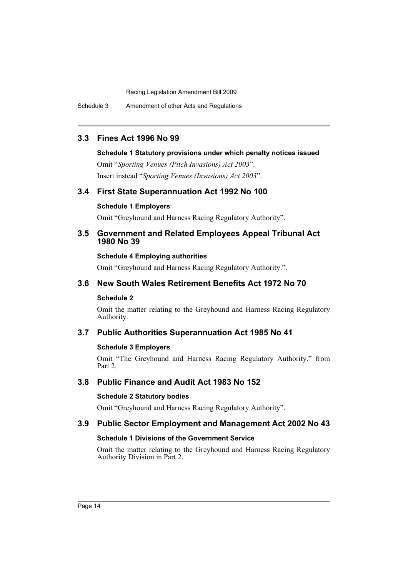Schedule 3 Amendment of other Acts and Regulations

# **3.3 Fines Act 1996 No 99**

# **Schedule 1 Statutory provisions under which penalty notices issued**

Omit "*Sporting Venues (Pitch Invasions) Act 2003*". Insert instead "*Sporting Venues (Invasions) Act 2003*".

# **3.4 First State Superannuation Act 1992 No 100**

# **Schedule 1 Employers**

Omit "Greyhound and Harness Racing Regulatory Authority".

# **3.5 Government and Related Employees Appeal Tribunal Act 1980 No 39**

# **Schedule 4 Employing authorities**

Omit "Greyhound and Harness Racing Regulatory Authority.".

# **3.6 New South Wales Retirement Benefits Act 1972 No 70**

# **Schedule 2**

Omit the matter relating to the Greyhound and Harness Racing Regulatory Authority.

# **3.7 Public Authorities Superannuation Act 1985 No 41**

# **Schedule 3 Employers**

Omit "The Greyhound and Harness Racing Regulatory Authority." from Part 2.

# **3.8 Public Finance and Audit Act 1983 No 152**

# **Schedule 2 Statutory bodies**

Omit "Greyhound and Harness Racing Regulatory Authority".

# **3.9 Public Sector Employment and Management Act 2002 No 43**

# **Schedule 1 Divisions of the Government Service**

Omit the matter relating to the Greyhound and Harness Racing Regulatory Authority Division in Part 2.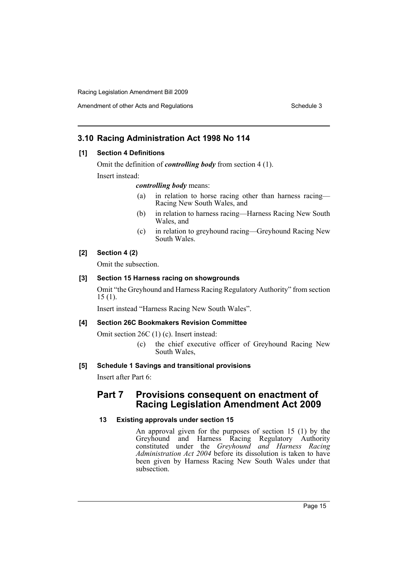# Amendment of other Acts and Regulations **Schedule 3** Schedule 3

# **3.10 Racing Administration Act 1998 No 114**

# **[1] Section 4 Definitions**

Omit the definition of *controlling body* from section 4 (1).

Insert instead:

### *controlling body* means:

- (a) in relation to horse racing other than harness racing— Racing New South Wales, and
- (b) in relation to harness racing—Harness Racing New South Wales, and
- (c) in relation to greyhound racing—Greyhound Racing New South Wales.

# **[2] Section 4 (2)**

Omit the subsection.

### **[3] Section 15 Harness racing on showgrounds**

Omit "the Greyhound and Harness Racing Regulatory Authority" from section 15 (1).

Insert instead "Harness Racing New South Wales".

# **[4] Section 26C Bookmakers Revision Committee**

Omit section 26C (1) (c). Insert instead:

(c) the chief executive officer of Greyhound Racing New South Wales,

# **[5] Schedule 1 Savings and transitional provisions**

Insert after Part 6:

# **Part 7 Provisions consequent on enactment of Racing Legislation Amendment Act 2009**

# **13 Existing approvals under section 15**

An approval given for the purposes of section 15 (1) by the Greyhound and Harness Racing Regulatory Authority constituted under the *Greyhound and Harness Racing Administration Act 2004* before its dissolution is taken to have been given by Harness Racing New South Wales under that subsection.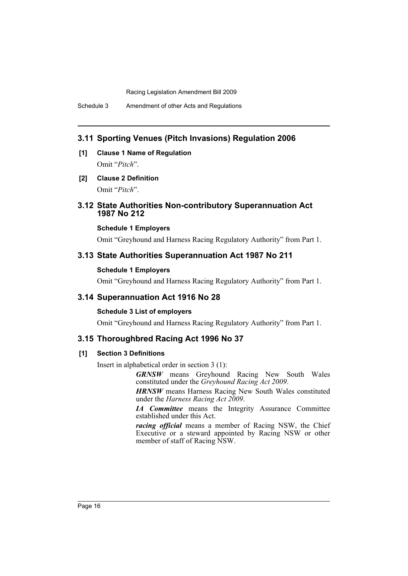# **3.11 Sporting Venues (Pitch Invasions) Regulation 2006**

- **[1] Clause 1 Name of Regulation** Omit "*Pitch*".
- **[2] Clause 2 Definition** Omit "*Pitch*".

# **3.12 State Authorities Non-contributory Superannuation Act 1987 No 212**

### **Schedule 1 Employers**

Omit "Greyhound and Harness Racing Regulatory Authority" from Part 1.

# **3.13 State Authorities Superannuation Act 1987 No 211**

#### **Schedule 1 Employers**

Omit "Greyhound and Harness Racing Regulatory Authority" from Part 1.

# **3.14 Superannuation Act 1916 No 28**

### **Schedule 3 List of employers**

Omit "Greyhound and Harness Racing Regulatory Authority" from Part 1.

# **3.15 Thoroughbred Racing Act 1996 No 37**

### **[1] Section 3 Definitions**

Insert in alphabetical order in section 3 (1):

*GRNSW* means Greyhound Racing New South Wales constituted under the *Greyhound Racing Act 2009*.

*HRNSW* means Harness Racing New South Wales constituted under the *Harness Racing Act 2009*.

*IA Committee* means the Integrity Assurance Committee established under this Act.

*racing official* means a member of Racing NSW, the Chief Executive or a steward appointed by Racing NSW or other member of staff of Racing NSW.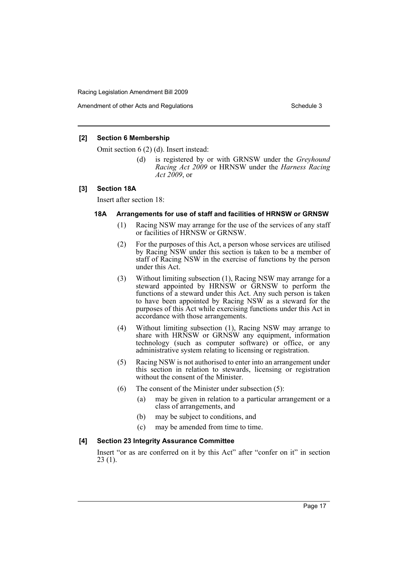### **[2] Section 6 Membership**

Omit section 6 (2) (d). Insert instead:

(d) is registered by or with GRNSW under the *Greyhound Racing Act 2009* or HRNSW under the *Harness Racing Act 2009*, or

### **[3] Section 18A**

Insert after section 18:

### **18A Arrangements for use of staff and facilities of HRNSW or GRNSW**

- (1) Racing NSW may arrange for the use of the services of any staff or facilities of HRNSW or GRNSW.
- (2) For the purposes of this Act, a person whose services are utilised by Racing NSW under this section is taken to be a member of staff of Racing NSW in the exercise of functions by the person under this Act.
- (3) Without limiting subsection (1), Racing NSW may arrange for a steward appointed by HRNSW or GRNSW to perform the functions of a steward under this Act. Any such person is taken to have been appointed by Racing NSW as a steward for the purposes of this Act while exercising functions under this Act in accordance with those arrangements.
- (4) Without limiting subsection (1), Racing NSW may arrange to share with HRNSW or GRNSW any equipment, information technology (such as computer software) or office, or any administrative system relating to licensing or registration.
- (5) Racing NSW is not authorised to enter into an arrangement under this section in relation to stewards, licensing or registration without the consent of the Minister.
- (6) The consent of the Minister under subsection (5):
	- (a) may be given in relation to a particular arrangement or a class of arrangements, and
	- (b) may be subject to conditions, and
	- (c) may be amended from time to time.

### **[4] Section 23 Integrity Assurance Committee**

Insert "or as are conferred on it by this Act" after "confer on it" in section 23 (1).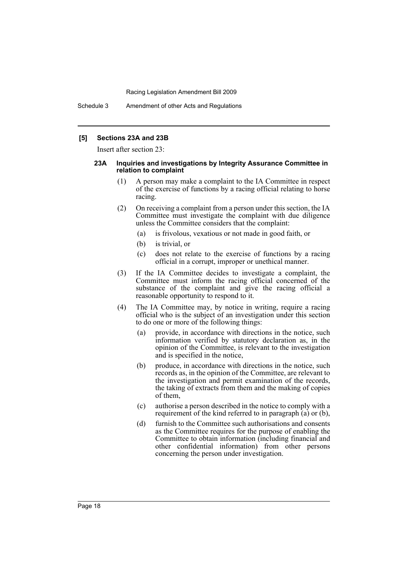### **[5] Sections 23A and 23B**

Insert after section 23:

#### **23A Inquiries and investigations by Integrity Assurance Committee in relation to complaint**

- (1) A person may make a complaint to the IA Committee in respect of the exercise of functions by a racing official relating to horse racing.
- (2) On receiving a complaint from a person under this section, the IA Committee must investigate the complaint with due diligence unless the Committee considers that the complaint:
	- (a) is frivolous, vexatious or not made in good faith, or
	- (b) is trivial, or
	- (c) does not relate to the exercise of functions by a racing official in a corrupt, improper or unethical manner.
- (3) If the IA Committee decides to investigate a complaint, the Committee must inform the racing official concerned of the substance of the complaint and give the racing official a reasonable opportunity to respond to it.
- (4) The IA Committee may, by notice in writing, require a racing official who is the subject of an investigation under this section to do one or more of the following things:
	- (a) provide, in accordance with directions in the notice, such information verified by statutory declaration as, in the opinion of the Committee, is relevant to the investigation and is specified in the notice,
	- (b) produce, in accordance with directions in the notice, such records as, in the opinion of the Committee, are relevant to the investigation and permit examination of the records, the taking of extracts from them and the making of copies of them,
	- (c) authorise a person described in the notice to comply with a requirement of the kind referred to in paragraph (a) or (b),
	- (d) furnish to the Committee such authorisations and consents as the Committee requires for the purpose of enabling the Committee to obtain information (including financial and other confidential information) from other persons concerning the person under investigation.